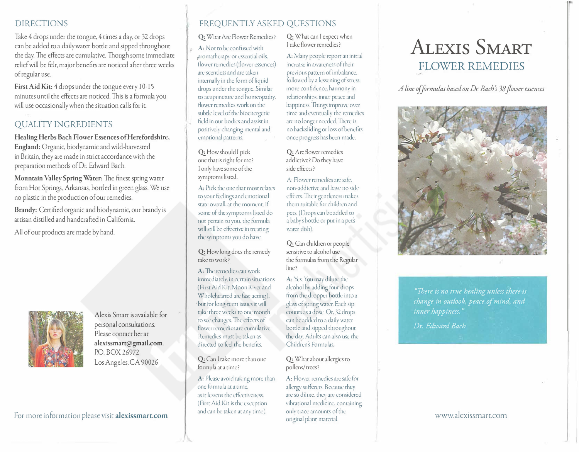#### DIRECTIONS

Take 4 drops under che congue, 4 rimes a day, or 32 drops can be added to a daily water bottle and sipped throughout the day. The effects are cumulative. Though some immediate relief will be felt, major benefits are nociced after chree weeks of regular use.

First Aid Kit: 4 drops under the tongue every 10-15 minuces until the effects are nociced. This is a formula you will use occasionally when the situation calls for it.

## QUALITY INGREDIENTS

**Healing Herbs Bach Flower Essences of Herefordshire, England:** Organic, biodynamic and wild-harvesced in Bricain, chey are made in srricc accordance wich che preparation methods of Dr. Edward Bach.

**Mountain Valley Spring Water:** The finesc spring water from Hot Springs, Arkansas, bottled in green glass. We use no plastic in the production of our remedies.

Brandy: Certified organic and biodynamic, our brandy is artisan distilled and handcrafced in California.

All of our producrs are made by hand.



Alexis Smart is available for personal consultations. Please contact her at **alexissmart@gmail.com.**  PO. BOX 26972 Los Angeles, CA 90026

#### For more information please visit **alexissmarc.com**

#### FREQUENTLY ASKED QUESTIONS

Q: What Are Flower Remedies?

 $A:$  Not to be confused with aromatherapy or essential oils. flower remedies (flower essences) arc scentless and arc: taken internally in che form of liquid drops under the tongue. Similar to acupuncture and homeopathy. flower remedies work on the subtle level of the bioenergetic field in our bodies and assist in positively changing mental and emorional patterns.

Q: How should I pick one chat is right for me? I only have some of che symptoms listed.

A: Pick the one that most relates to your feelings and emotional state overall, at the moment. If some of the symptoms listed do not pertain to you. che formula will still be effective in treating che symptoms you do have.

Q: How long docs the remedy take to work?

A: The remedies can work immediately. in ccrrain sicuacions (First Aid Kie. Moon River and Wholehearted are fast-acting). but for long-term issues it will take three weeks to one month to see changes. The effects of flower remedies are cumulative. Remedies must be taken as directed to feel the benefits.

Q: Can I take more than one formula at a time?

A: Please avoid raking more than one formula at a time. as it lessens the effectiveness. (First Aid Kit is the exception and can be taken at any time).

Q: What can I expect when I cake flower remedies?

A: Many people report an initial increase in awareness of their previous pattern of imbalance. followed by a lessening of stress. more confidence. harmony in relationships, inner peace and happiness. Things improve over time and eventually the remedies are no longer needed. There is no backsliding or loss of benefits once progress has been made.

Q: Are flower remedies addictive? Do they have side effects?

A: Flower remedies are safe. non-addictive and have no side. effects. Their gentleness makes chem suitable for children and pets. (Drops can be added to a baby's bottle or put in a pet's water dish).

Q: Can children or people sensitive co alcohol use che formulas from che Regular line?

A: Yes. You may dilute the alcohol by adding four drops from the dropper bottle into a glass of spring water. Each sip counts as a dose. Or, 32 drops can be added to a daily water bottle and sipped throughout the day. Adults can also use the Childrcns Formulas.

Q: What about allergies to pollens/ crees?

A: Flower remedies are safe for allergy sufferers. Because they are so dilute, they are considered vibrational medicine, containing only trace amounts of the original plant material.

# **ALEXIS SMART**  FLOWER REMEDIES

*A line of formulas based on Dr. Bach s 38 flower essences* 



*"There is no trne healing unless there·is change in outlook, peace of mind, and inner happiness."* 

*Dr. Edward Bach*